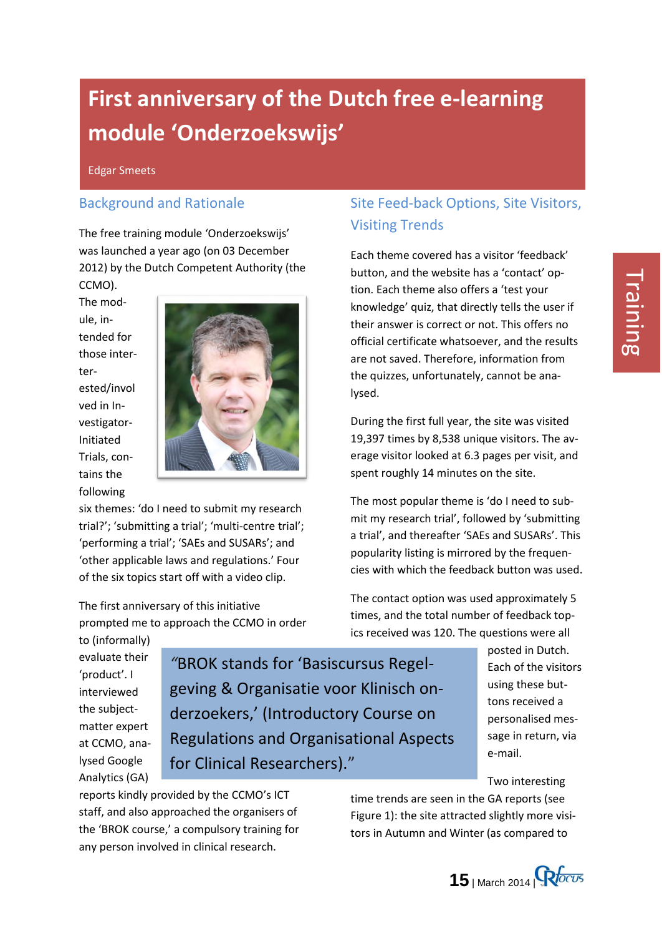# **First anniversary of the Dutch free e-learning module 'Onderzoekswijs'**

Edgar Smeets

#### Background and Rationale

The free training module 'Onderzoekswijs' was launched a year ago (on 03 December 2012) by the Dutch Competent Authority (the CCMO).

The module, intended for those interterested/invol ved in Investigator-Initiated Trials, contains the following



six themes: 'do I need to submit my research trial?'; 'submitting a trial'; 'multi-centre trial'; 'performing a trial'; 'SAEs and SUSARs'; and 'other applicable laws and regulations.' Four of the six topics start off with a video clip.

The first anniversary of this initiative prompted me to approach the CCMO in order

to (informally) evaluate their 'product'. I interviewed the subjectmatter expert at CCMO, analysed Google Analytics (GA)

*"*BROK stands for 'Basiscursus Regelgeving & Organisatie voor Klinisch onderzoekers,' (Introductory Course on Regulations and Organisational Aspects for Clinical Researchers)."

reports kindly provided by the CCMO's ICT staff, and also approached the organisers of the 'BROK course,' a compulsory training for any person involved in clinical research.

### Site Feed-back Options, Site Visitors, Visiting Trends

Each theme covered has a visitor 'feedback' button, and the website has a 'contact' option. Each theme also offers a 'test your knowledge' quiz, that directly tells the user if their answer is correct or not. This offers no official certificate whatsoever, and the results are not saved. Therefore, information from the quizzes, unfortunately, cannot be analysed.

During the first full year, the site was visited 19,397 times by 8,538 unique visitors. The average visitor looked at 6.3 pages per visit, and spent roughly 14 minutes on the site.

The most popular theme is 'do I need to submit my research trial', followed by 'submitting a trial', and thereafter 'SAEs and SUSARs'. This popularity listing is mirrored by the frequencies with which the feedback button was used.

The contact option was used approximately 5 times, and the total number of feedback topics received was 120. The questions were all

> posted in Dutch. Each of the visitors using these buttons received a personalised message in return, via e-mail.

Two interesting

time trends are seen in the GA reports (see Figure 1): the site attracted slightly more visitors in Autumn and Winter (as compared to

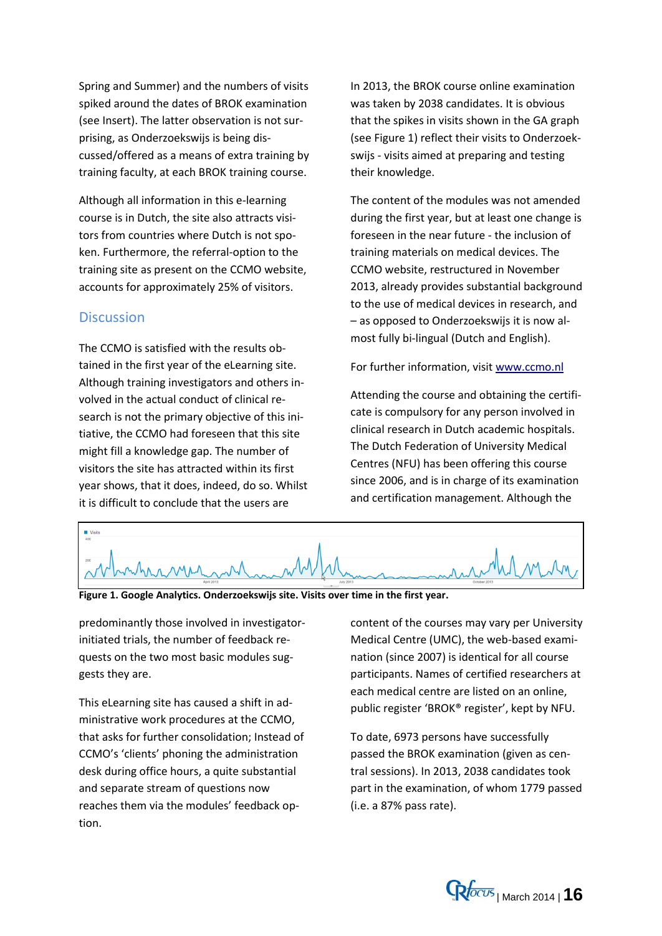Spring and Summer) and the numbers of visits spiked around the dates of BROK examination (see Insert). The latter observation is not surprising, as Onderzoekswijs is being discussed/offered as a means of extra training by training faculty, at each BROK training course.

Although all information in this e-learning course is in Dutch, the site also attracts visitors from countries where Dutch is not spoken. Furthermore, the referral-option to the training site as present on the CCMO website, accounts for approximately 25% of visitors.

#### **Discussion**

The CCMO is satisfied with the results obtained in the first year of the eLearning site. Although training investigators and others involved in the actual conduct of clinical research is not the primary objective of this initiative, the CCMO had foreseen that this site might fill a knowledge gap. The number of visitors the site has attracted within its first year shows, that it does, indeed, do so. Whilst it is difficult to conclude that the users are

In 2013, the BROK course online examination was taken by 2038 candidates. It is obvious that the spikes in visits shown in the GA graph (see Figure 1) reflect their visits to Onderzoekswijs - visits aimed at preparing and testing their knowledge.

The content of the modules was not amended during the first year, but at least one change is foreseen in the near future - the inclusion of training materials on medical devices. The CCMO website, restructured in November 2013, already provides substantial background to the use of medical devices in research, and – as opposed to Onderzoekswijs it is now almost fully bi-lingual (Dutch and English).

For further information, visi[t www.ccmo.nl](http://www.ccmo.nl/)

Attending the course and obtaining the certificate is compulsory for any person involved in clinical research in Dutch academic hospitals. The Dutch Federation of University Medical Centres (NFU) has been offering this course since 2006, and is in charge of its examination and certification management. Although the



**Figure 1. Google Analytics. Onderzoekswijs site. Visits over time in the first year.**

predominantly those involved in investigatorinitiated trials, the number of feedback requests on the two most basic modules suggests they are.

This eLearning site has caused a shift in administrative work procedures at the CCMO, that asks for further consolidation; Instead of CCMO's 'clients' phoning the administration desk during office hours, a quite substantial and separate stream of questions now reaches them via the modules' feedback option.

content of the courses may vary per University Medical Centre (UMC), the web-based examination (since 2007) is identical for all course participants. Names of certified researchers at each medical centre are listed on an online, public register 'BROK® register', kept by NFU.

To date, 6973 persons have successfully passed the BROK examination (given as central sessions). In 2013, 2038 candidates took part in the examination, of whom 1779 passed (i.e. a 87% pass rate).